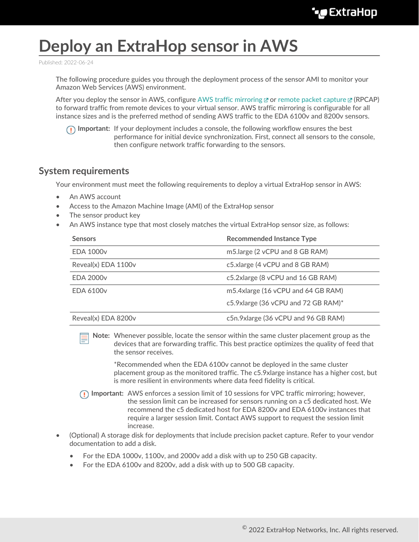# **Deploy an ExtraHop sensor in AWS**

Published: 2022-06-24

The following procedure guides you through the deployment process of the sensor AMI to monitor your Amazon Web Services (AWS) environment.

After you deploy the sensor in AWS, configure [AWS traffic mirroring](https://docs.aws.amazon.com/vpc/latest/mirroring/traffic-mirroring-getting-started.html)  $\mathbb Z$  or [remote packet capture](https://docs.extrahop.com/8.9/rpcap)  $\mathbb Z$  (RPCAP) to forward traffic from remote devices to your virtual sensor. AWS traffic mirroring is configurable for all instance sizes and is the preferred method of sending AWS traffic to the EDA 6100v and 8200v sensors.

**Important:** If your deployment includes a console, the following workflow ensures the best performance for initial device synchronization. First, connect all sensors to the console, then configure network traffic forwarding to the sensors.

## **System requirements**

Your environment must meet the following requirements to deploy a virtual ExtraHop sensor in AWS:

- An AWS account
- Access to the Amazon Machine Image (AMI) of the ExtraHop sensor
- The sensor product key
- An AWS instance type that most closely matches the virtual ExtraHop sensor size, as follows:

| <b>Sensors</b>      | <b>Recommended Instance Type</b>    |
|---------------------|-------------------------------------|
| <b>EDA 1000v</b>    | m5.large (2 vCPU and 8 GB RAM)      |
| Reveal(x) EDA 1100v | c5.xlarge (4 vCPU and 8 GB RAM)     |
| <b>EDA 2000v</b>    | c5.2xlarge (8 vCPU and 16 GB RAM)   |
| <b>EDA 6100v</b>    | m5.4xlarge (16 vCPU and 64 GB RAM)  |
|                     | c5.9xlarge (36 vCPU and 72 GB RAM)* |
| Reveal(x) EDA 8200v | c5n.9xlarge (36 vCPU and 96 GB RAM) |

**Note:** Whenever possible, locate the sensor within the same cluster placement group as the devices that are forwarding traffic. This best practice optimizes the quality of feed that the sensor receives.

\*Recommended when the EDA 6100v cannot be deployed in the same cluster placement group as the monitored traffic. The c5.9xlarge instance has a higher cost, but is more resilient in environments where data feed fidelity is critical.

- **Important:** AWS enforces a session limit of 10 sessions for VPC traffic mirroring; however, the session limit can be increased for sensors running on a c5 dedicated host. We recommend the c5 dedicated host for EDA 8200v and EDA 6100v instances that require a larger session limit. Contact AWS support to request the session limit increase.
- (Optional) A storage disk for deployments that include precision packet capture. Refer to your vendor documentation to add a disk.
	- For the EDA 1000v, 1100v, and 2000v add a disk with up to 250 GB capacity.
	- For the EDA 6100v and 8200v, add a disk with up to 500 GB capacity.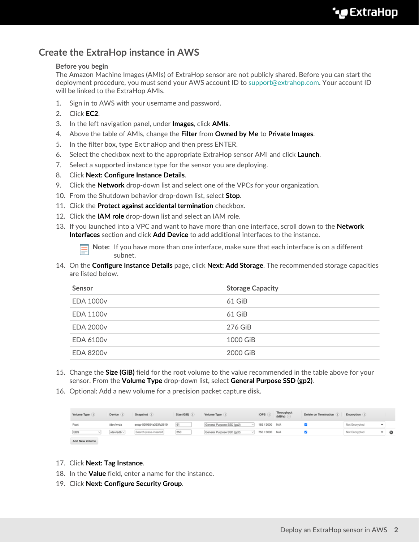# **Create the ExtraHop instance in AWS**

#### **Before you begin**

The Amazon Machine Images (AMIs) of ExtraHop sensor are not publicly shared. Before you can start the deployment procedure, you must send your AWS account ID to [support@extrahop.com](mailto:support@extrahop.com). Your account ID will be linked to the ExtraHop AMIs.

- 1. Sign in to AWS with your username and password.
- 2. Click **EC2**.
- 3. In the left navigation panel, under **Images**, click **AMIs**.
- 4. Above the table of AMIs, change the **Filter** from **Owned by Me** to **Private Images**.
- 5. In the filter box, type ExtraHop and then press ENTER.
- 6. Select the checkbox next to the appropriate ExtraHop sensor AMI and click **Launch**.
- 7. Select a supported instance type for the sensor you are deploying.
- 8. Click **Next: Configure Instance Details**.
- 9. Click the **Network** drop-down list and select one of the VPCs for your organization.
- 10. From the Shutdown behavior drop-down list, select **Stop**.
- 11. Click the **Protect against accidental termination** checkbox.
- 12. Click the **IAM role** drop-down list and select an IAM role.
- 13. If you launched into a VPC and want to have more than one interface, scroll down to the **Network Interfaces** section and click **Add Device** to add additional interfaces to the instance.

**Note:** If you have more than one interface, make sure that each interface is on a different subnet.

14. On the **Configure Instance Details** page, click **Next: Add Storage**. The recommended storage capacities are listed below.

| Sensor           | <b>Storage Capacity</b> |
|------------------|-------------------------|
| <b>EDA 1000v</b> | 61 GiB                  |
| <b>EDA 1100v</b> | 61 GiB                  |
| <b>EDA 2000v</b> | 276 GiB                 |
| <b>EDA 6100v</b> | 1000 GiB                |
| <b>EDA 8200v</b> | 2000 GiB                |

- 15. Change the **Size (GiB)** field for the root volume to the value recommended in the table above for your sensor. From the **Volume Type** drop-down list, select **General Purpose SSD (gp2)**.
- 16. Optional: Add a new volume for a precision packet capture disk.

| Volume Type (      | Device     | Snapshot (i)                       | Size (GiB) | Volume Type               | IOPS (         | Throughput<br>$(MB/s)$ $($ | Delete on Termination | Encryption    |                          |   |
|--------------------|------------|------------------------------------|------------|---------------------------|----------------|----------------------------|-----------------------|---------------|--------------------------|---|
| Root               | /dev/xvda  | snap-02f9654a333fc2619             | 61         | General Purpose SSD (gp2) | 183 / 3000 N/A |                            |                       | Not Encrypted | $\overline{\phantom{a}}$ |   |
| EBS<br><b>SALE</b> | /dev/sdb ~ | Search (case-insensit <sup>7</sup> | 250        | General Purpose SSD (gp2) | 750 / 3000 N/A |                            |                       | Not Encrypted |                          | ◎ |
| Add New Volume     |            |                                    |            |                           |                |                            |                       |               |                          |   |

- 17. Click **Next: Tag Instance**.
- 18. In the **Value** field, enter a name for the instance.
- 19. Click **Next: Configure Security Group**.